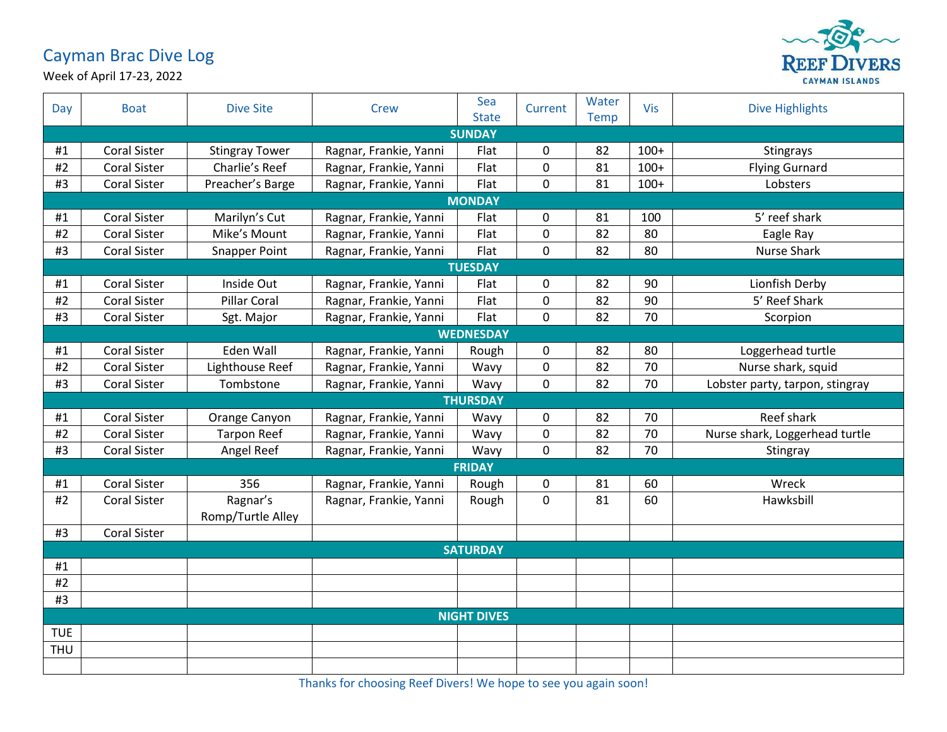## Cayman Brac Dive Log



Week of April 17-23, 2022

| Day                | <b>Boat</b>         | <b>Dive Site</b>              | <b>Crew</b>            | Sea<br><b>State</b> | Current     | Water<br>Temp | <b>Vis</b> | <b>Dive Highlights</b>          |  |
|--------------------|---------------------|-------------------------------|------------------------|---------------------|-------------|---------------|------------|---------------------------------|--|
| <b>SUNDAY</b>      |                     |                               |                        |                     |             |               |            |                                 |  |
| #1                 | <b>Coral Sister</b> | <b>Stingray Tower</b>         | Ragnar, Frankie, Yanni | Flat                | 0           | 82            | $100+$     | <b>Stingrays</b>                |  |
| #2                 | <b>Coral Sister</b> | Charlie's Reef                | Ragnar, Frankie, Yanni | Flat                | 0           | 81            | $100+$     | <b>Flying Gurnard</b>           |  |
| #3                 | <b>Coral Sister</b> | Preacher's Barge              | Ragnar, Frankie, Yanni | Flat                | $\mathbf 0$ | 81            | $100+$     | Lobsters                        |  |
| <b>MONDAY</b>      |                     |                               |                        |                     |             |               |            |                                 |  |
| #1                 | <b>Coral Sister</b> | Marilyn's Cut                 | Ragnar, Frankie, Yanni | Flat                | 0           | 81            | 100        | 5' reef shark                   |  |
| #2                 | <b>Coral Sister</b> | Mike's Mount                  | Ragnar, Frankie, Yanni | Flat                | 0           | 82            | 80         | Eagle Ray                       |  |
| #3                 | <b>Coral Sister</b> | <b>Snapper Point</b>          | Ragnar, Frankie, Yanni | Flat                | $\mathbf 0$ | 82            | 80         | <b>Nurse Shark</b>              |  |
| <b>TUESDAY</b>     |                     |                               |                        |                     |             |               |            |                                 |  |
| #1                 | <b>Coral Sister</b> | Inside Out                    | Ragnar, Frankie, Yanni | Flat                | 0           | 82            | 90         | Lionfish Derby                  |  |
| #2                 | <b>Coral Sister</b> | Pillar Coral                  | Ragnar, Frankie, Yanni | Flat                | 0           | 82            | 90         | 5' Reef Shark                   |  |
| #3                 | <b>Coral Sister</b> | Sgt. Major                    | Ragnar, Frankie, Yanni | Flat                | $\pmb{0}$   | 82            | 70         | Scorpion                        |  |
|                    |                     |                               |                        | <b>WEDNESDAY</b>    |             |               |            |                                 |  |
| #1                 | <b>Coral Sister</b> | Eden Wall                     | Ragnar, Frankie, Yanni | Rough               | 0           | 82            | 80         | Loggerhead turtle               |  |
| #2                 | <b>Coral Sister</b> | Lighthouse Reef               | Ragnar, Frankie, Yanni | Wavy                | 0           | 82            | 70         | Nurse shark, squid              |  |
| #3                 | <b>Coral Sister</b> | Tombstone                     | Ragnar, Frankie, Yanni | Wavy                | $\mathbf 0$ | 82            | 70         | Lobster party, tarpon, stingray |  |
|                    |                     |                               |                        | <b>THURSDAY</b>     |             |               |            |                                 |  |
| #1                 | <b>Coral Sister</b> | Orange Canyon                 | Ragnar, Frankie, Yanni | Wavy                | 0           | 82            | 70         | Reef shark                      |  |
| #2                 | <b>Coral Sister</b> | <b>Tarpon Reef</b>            | Ragnar, Frankie, Yanni | Wavy                | 0           | 82            | 70         | Nurse shark, Loggerhead turtle  |  |
| #3                 | <b>Coral Sister</b> | Angel Reef                    | Ragnar, Frankie, Yanni | Wavy                | 0           | 82            | 70         | Stingray                        |  |
|                    |                     |                               |                        | <b>FRIDAY</b>       |             |               |            |                                 |  |
| #1                 | <b>Coral Sister</b> | 356                           | Ragnar, Frankie, Yanni | Rough               | 0           | 81            | 60         | Wreck                           |  |
| #2                 | <b>Coral Sister</b> | Ragnar's<br>Romp/Turtle Alley | Ragnar, Frankie, Yanni | Rough               | $\mathbf 0$ | 81            | 60         | Hawksbill                       |  |
| #3                 | <b>Coral Sister</b> |                               |                        |                     |             |               |            |                                 |  |
| <b>SATURDAY</b>    |                     |                               |                        |                     |             |               |            |                                 |  |
| #1                 |                     |                               |                        |                     |             |               |            |                                 |  |
| #2                 |                     |                               |                        |                     |             |               |            |                                 |  |
| #3                 |                     |                               |                        |                     |             |               |            |                                 |  |
| <b>NIGHT DIVES</b> |                     |                               |                        |                     |             |               |            |                                 |  |
| <b>TUE</b>         |                     |                               |                        |                     |             |               |            |                                 |  |
| <b>THU</b>         |                     |                               |                        |                     |             |               |            |                                 |  |
|                    |                     |                               |                        |                     |             |               |            |                                 |  |

Thanks for choosing Reef Divers! We hope to see you again soon!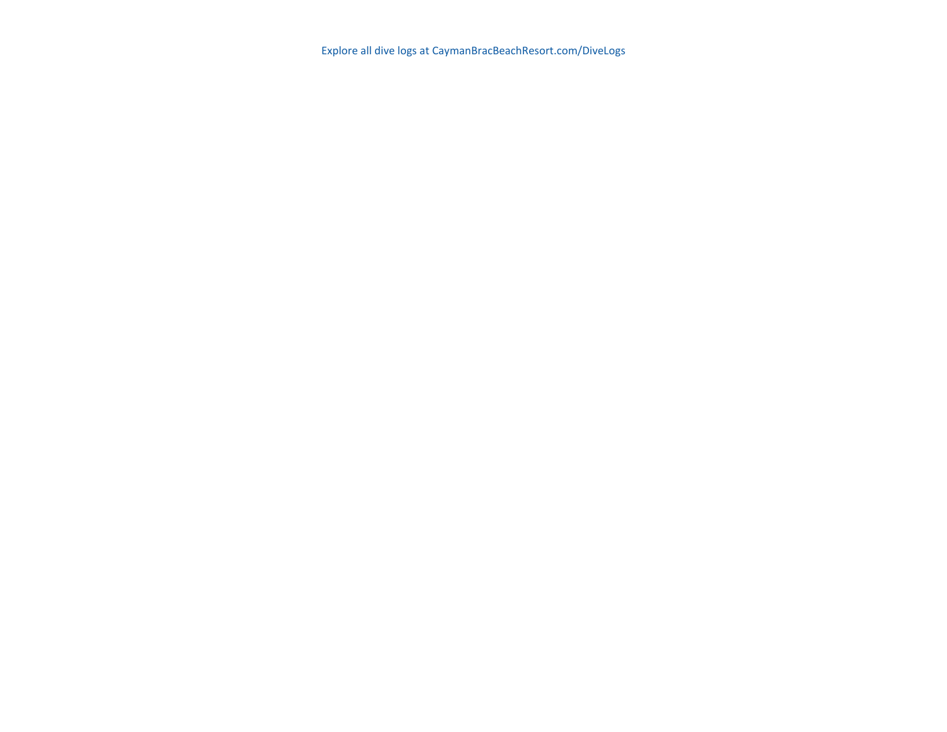Explore all dive logs at CaymanBracBeachResort.com/DiveLogs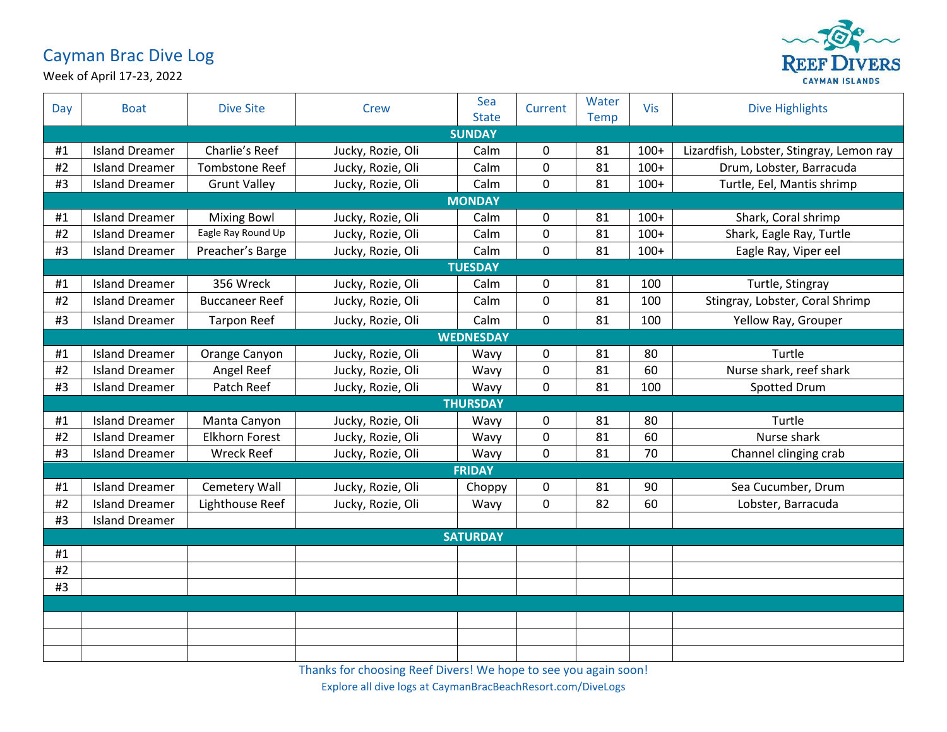## Cayman Brac Dive Log



Week of April 17-23, 2022

| Day           | <b>Boat</b>           | <b>Dive Site</b>      | Crew              | Sea<br><b>State</b> | Current      | Water<br><b>Temp</b> | Vis    | <b>Dive Highlights</b>                   |  |  |
|---------------|-----------------------|-----------------------|-------------------|---------------------|--------------|----------------------|--------|------------------------------------------|--|--|
| <b>SUNDAY</b> |                       |                       |                   |                     |              |                      |        |                                          |  |  |
| #1            | <b>Island Dreamer</b> | Charlie's Reef        | Jucky, Rozie, Oli | Calm                | 0            | 81                   | $100+$ | Lizardfish, Lobster, Stingray, Lemon ray |  |  |
| #2            | <b>Island Dreamer</b> | <b>Tombstone Reef</b> | Jucky, Rozie, Oli | Calm                | 0            | 81                   | $100+$ | Drum, Lobster, Barracuda                 |  |  |
| #3            | <b>Island Dreamer</b> | <b>Grunt Valley</b>   | Jucky, Rozie, Oli | Calm                | $\mathbf 0$  | 81                   | $100+$ | Turtle, Eel, Mantis shrimp               |  |  |
|               | <b>MONDAY</b>         |                       |                   |                     |              |                      |        |                                          |  |  |
| #1            | <b>Island Dreamer</b> | <b>Mixing Bowl</b>    | Jucky, Rozie, Oli | Calm                | 0            | 81                   | $100+$ | Shark, Coral shrimp                      |  |  |
| #2            | <b>Island Dreamer</b> | Eagle Ray Round Up    | Jucky, Rozie, Oli | Calm                | $\mathbf 0$  | 81                   | $100+$ | Shark, Eagle Ray, Turtle                 |  |  |
| #3            | <b>Island Dreamer</b> | Preacher's Barge      | Jucky, Rozie, Oli | Calm                | $\mathbf 0$  | 81                   | $100+$ | Eagle Ray, Viper eel                     |  |  |
|               | <b>TUESDAY</b>        |                       |                   |                     |              |                      |        |                                          |  |  |
| #1            | <b>Island Dreamer</b> | 356 Wreck             | Jucky, Rozie, Oli | Calm                | 0            | 81                   | 100    | Turtle, Stingray                         |  |  |
| #2            | <b>Island Dreamer</b> | <b>Buccaneer Reef</b> | Jucky, Rozie, Oli | Calm                | $\mathbf{0}$ | 81                   | 100    | Stingray, Lobster, Coral Shrimp          |  |  |
| #3            | <b>Island Dreamer</b> | <b>Tarpon Reef</b>    | Jucky, Rozie, Oli | Calm                | $\mathbf 0$  | 81                   | 100    | Yellow Ray, Grouper                      |  |  |
|               |                       |                       |                   | <b>WEDNESDAY</b>    |              |                      |        |                                          |  |  |
| #1            | <b>Island Dreamer</b> | Orange Canyon         | Jucky, Rozie, Oli | Wavy                | 0            | 81                   | 80     | Turtle                                   |  |  |
| #2            | <b>Island Dreamer</b> | Angel Reef            | Jucky, Rozie, Oli | Wavy                | $\mathbf 0$  | 81                   | 60     | Nurse shark, reef shark                  |  |  |
| #3            | <b>Island Dreamer</b> | Patch Reef            | Jucky, Rozie, Oli | Wavy                | 0            | 81                   | 100    | Spotted Drum                             |  |  |
|               |                       |                       |                   | <b>THURSDAY</b>     |              |                      |        |                                          |  |  |
| #1            | <b>Island Dreamer</b> | Manta Canyon          | Jucky, Rozie, Oli | Wavy                | $\mathbf 0$  | 81                   | 80     | Turtle                                   |  |  |
| #2            | <b>Island Dreamer</b> | <b>Elkhorn Forest</b> | Jucky, Rozie, Oli | Wavy                | $\mathbf 0$  | 81                   | 60     | Nurse shark                              |  |  |
| #3            | <b>Island Dreamer</b> | <b>Wreck Reef</b>     | Jucky, Rozie, Oli | Wavy                | $\mathbf 0$  | 81                   | 70     | Channel clinging crab                    |  |  |
|               | <b>FRIDAY</b>         |                       |                   |                     |              |                      |        |                                          |  |  |
| #1            | <b>Island Dreamer</b> | <b>Cemetery Wall</b>  | Jucky, Rozie, Oli | Choppy              | 0            | 81                   | 90     | Sea Cucumber, Drum                       |  |  |
| #2            | <b>Island Dreamer</b> | Lighthouse Reef       | Jucky, Rozie, Oli | Wavy                | 0            | 82                   | 60     | Lobster, Barracuda                       |  |  |
| #3            | <b>Island Dreamer</b> |                       |                   |                     |              |                      |        |                                          |  |  |
|               | <b>SATURDAY</b>       |                       |                   |                     |              |                      |        |                                          |  |  |
| #1            |                       |                       |                   |                     |              |                      |        |                                          |  |  |
| #2            |                       |                       |                   |                     |              |                      |        |                                          |  |  |
| #3            |                       |                       |                   |                     |              |                      |        |                                          |  |  |
|               |                       |                       |                   |                     |              |                      |        |                                          |  |  |
|               |                       |                       |                   |                     |              |                      |        |                                          |  |  |
|               |                       |                       |                   |                     |              |                      |        |                                          |  |  |
|               |                       |                       |                   |                     |              |                      |        |                                          |  |  |

Thanks for choosing Reef Divers! We hope to see you again soon! Explore all dive logs at CaymanBracBeachResort.com/DiveLogs